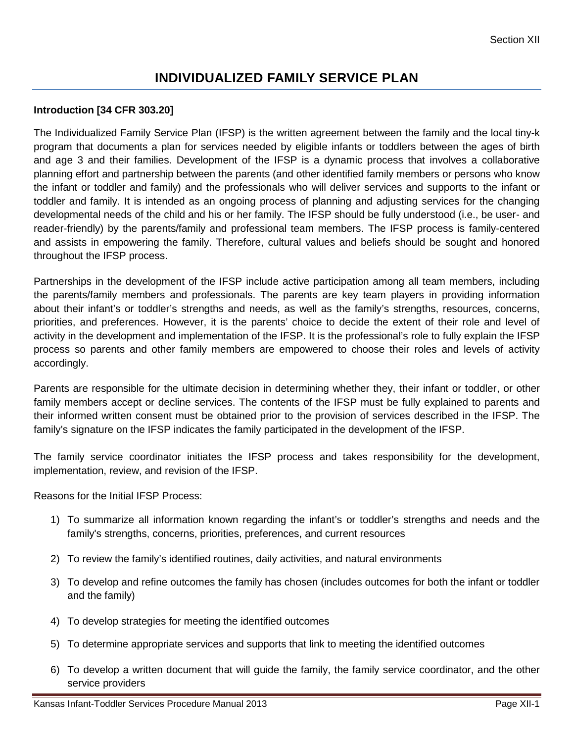# **INDIVIDUALIZED FAMILY SERVICE PLAN**

## **Introduction [34 CFR 303.20]**

The Individualized Family Service Plan (IFSP) is the written agreement between the family and the local tiny-k program that documents a plan for services needed by eligible infants or toddlers between the ages of birth and age 3 and their families. Development of the IFSP is a dynamic process that involves a collaborative planning effort and partnership between the parents (and other identified family members or persons who know the infant or toddler and family) and the professionals who will deliver services and supports to the infant or toddler and family. It is intended as an ongoing process of planning and adjusting services for the changing developmental needs of the child and his or her family. The IFSP should be fully understood (i.e., be user- and reader-friendly) by the parents/family and professional team members. The IFSP process is family-centered and assists in empowering the family. Therefore, cultural values and beliefs should be sought and honored throughout the IFSP process.

Partnerships in the development of the IFSP include active participation among all team members, including the parents/family members and professionals. The parents are key team players in providing information about their infant's or toddler's strengths and needs, as well as the family's strengths, resources, concerns, priorities, and preferences. However, it is the parents' choice to decide the extent of their role and level of activity in the development and implementation of the IFSP. It is the professional's role to fully explain the IFSP process so parents and other family members are empowered to choose their roles and levels of activity accordingly.

Parents are responsible for the ultimate decision in determining whether they, their infant or toddler, or other family members accept or decline services. The contents of the IFSP must be fully explained to parents and their informed written consent must be obtained prior to the provision of services described in the IFSP. The family's signature on the IFSP indicates the family participated in the development of the IFSP.

The family service coordinator initiates the IFSP process and takes responsibility for the development, implementation, review, and revision of the IFSP.

Reasons for the Initial IFSP Process:

- 1) To summarize all information known regarding the infant's or toddler's strengths and needs and the family's strengths, concerns, priorities, preferences, and current resources
- 2) To review the family's identified routines, daily activities, and natural environments
- 3) To develop and refine outcomes the family has chosen (includes outcomes for both the infant or toddler and the family)
- 4) To develop strategies for meeting the identified outcomes
- 5) To determine appropriate services and supports that link to meeting the identified outcomes
- 6) To develop a written document that will guide the family, the family service coordinator, and the other service providers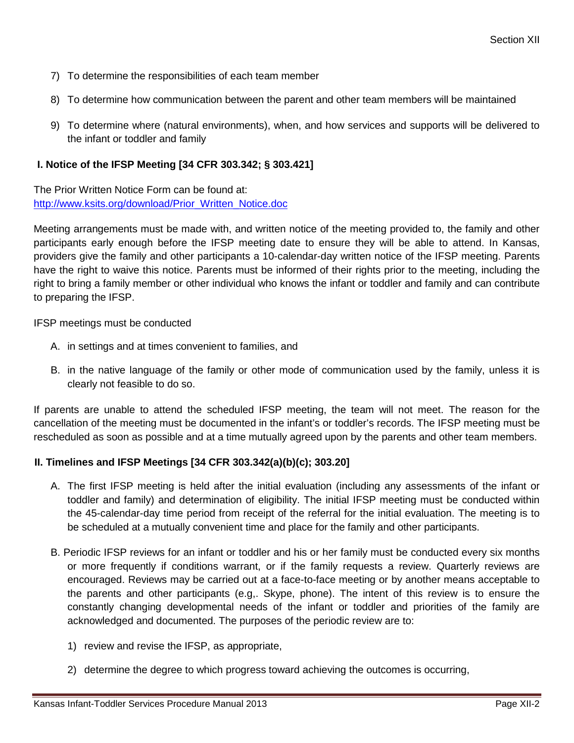- 7) To determine the responsibilities of each team member
- 8) To determine how communication between the parent and other team members will be maintained
- 9) To determine where (natural environments), when, and how services and supports will be delivered to the infant or toddler and family

# **I. Notice of the IFSP Meeting [34 CFR 303.342; § 303.421]**

The Prior Written Notice Form can be found at: [http://www.ksits.org/download/Prior\\_Written\\_Notice.doc](http://www.ksits.org/download/Prior_Written_Notice.doc)

Meeting arrangements must be made with, and written notice of the meeting provided to, the family and other participants early enough before the IFSP meeting date to ensure they will be able to attend. In Kansas, providers give the family and other participants a 10-calendar-day written notice of the IFSP meeting. Parents have the right to waive this notice. Parents must be informed of their rights prior to the meeting, including the right to bring a family member or other individual who knows the infant or toddler and family and can contribute to preparing the IFSP.

IFSP meetings must be conducted

- A. in settings and at times convenient to families, and
- B. in the native language of the family or other mode of communication used by the family, unless it is clearly not feasible to do so.

If parents are unable to attend the scheduled IFSP meeting, the team will not meet. The reason for the cancellation of the meeting must be documented in the infant's or toddler's records. The IFSP meeting must be rescheduled as soon as possible and at a time mutually agreed upon by the parents and other team members.

## **II. Timelines and IFSP Meetings [34 CFR 303.342(a)(b)(c); 303.20]**

- A. The first IFSP meeting is held after the initial evaluation (including any assessments of the infant or toddler and family) and determination of eligibility. The initial IFSP meeting must be conducted within the 45-calendar-day time period from receipt of the referral for the initial evaluation. The meeting is to be scheduled at a mutually convenient time and place for the family and other participants.
- B. Periodic IFSP reviews for an infant or toddler and his or her family must be conducted every six months or more frequently if conditions warrant, or if the family requests a review. Quarterly reviews are encouraged. Reviews may be carried out at a face-to-face meeting or by another means acceptable to the parents and other participants (e.g,. Skype, phone). The intent of this review is to ensure the constantly changing developmental needs of the infant or toddler and priorities of the family are acknowledged and documented. The purposes of the periodic review are to:
	- 1) review and revise the IFSP, as appropriate,
	- 2) determine the degree to which progress toward achieving the outcomes is occurring,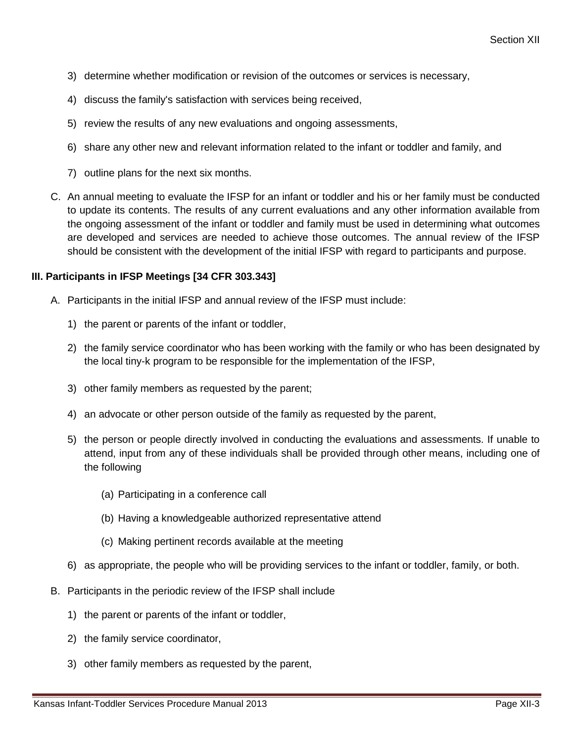- 3) determine whether modification or revision of the outcomes or services is necessary,
- 4) discuss the family's satisfaction with services being received,
- 5) review the results of any new evaluations and ongoing assessments,
- 6) share any other new and relevant information related to the infant or toddler and family, and
- 7) outline plans for the next six months.
- C. An annual meeting to evaluate the IFSP for an infant or toddler and his or her family must be conducted to update its contents. The results of any current evaluations and any other information available from the ongoing assessment of the infant or toddler and family must be used in determining what outcomes are developed and services are needed to achieve those outcomes. The annual review of the IFSP should be consistent with the development of the initial IFSP with regard to participants and purpose.

# **III. Participants in IFSP Meetings [34 CFR 303.343]**

- A. Participants in the initial IFSP and annual review of the IFSP must include:
	- 1) the parent or parents of the infant or toddler,
	- 2) the family service coordinator who has been working with the family or who has been designated by the local tiny-k program to be responsible for the implementation of the IFSP,
	- 3) other family members as requested by the parent;
	- 4) an advocate or other person outside of the family as requested by the parent,
	- 5) the person or people directly involved in conducting the evaluations and assessments. If unable to attend, input from any of these individuals shall be provided through other means, including one of the following
		- (a) Participating in a conference call
		- (b) Having a knowledgeable authorized representative attend
		- (c) Making pertinent records available at the meeting
	- 6) as appropriate, the people who will be providing services to the infant or toddler, family, or both.
- B. Participants in the periodic review of the IFSP shall include
	- 1) the parent or parents of the infant or toddler,
	- 2) the family service coordinator,
	- 3) other family members as requested by the parent,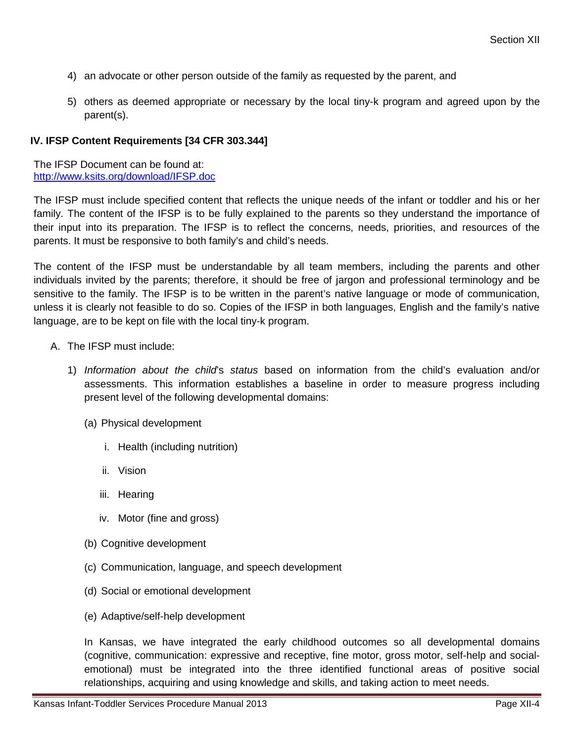- 4) an advocate or other person outside of the family as requested by the parent, and
- 5) others as deemed appropriate or necessary by the local tiny-k program and agreed upon by the parent(s).

#### **IV. IFSP Content Requirements [34 CFR 303.344]**

The IFSP Document can be found at: <http://www.ksits.org/download/IFSP.doc>

The IFSP must include specified content that reflects the unique needs of the infant or toddler and his or her family. The content of the IFSP is to be fully explained to the parents so they understand the importance of their input into its preparation. The IFSP is to reflect the concerns, needs, priorities, and resources of the parents. It must be responsive to both family's and child's needs.

The content of the IFSP must be understandable by all team members, including the parents and other individuals invited by the parents; therefore, it should be free of jargon and professional terminology and be sensitive to the family. The IFSP is to be written in the parent's native language or mode of communication, unless it is clearly not feasible to do so. Copies of the IFSP in both languages, English and the family's native language, are to be kept on file with the local tiny-k program.

- A. The IFSP must include:
	- 1) *Information about the child*'s *status* based on information from the child's evaluation and/or assessments. This information establishes a baseline in order to measure progress including present level of the following developmental domains:
		- (a) Physical development
			- i. Health (including nutrition)
			- ii. Vision
			- iii. Hearing
			- iv. Motor (fine and gross)
		- (b) Cognitive development
		- (c) Communication, language, and speech development
		- (d) Social or emotional development
		- (e) Adaptive/self-help development

In Kansas, we have integrated the early childhood outcomes so all developmental domains (cognitive, communication: expressive and receptive, fine motor, gross motor, self-help and socialemotional) must be integrated into the three identified functional areas of positive social relationships, acquiring and using knowledge and skills, and taking action to meet needs.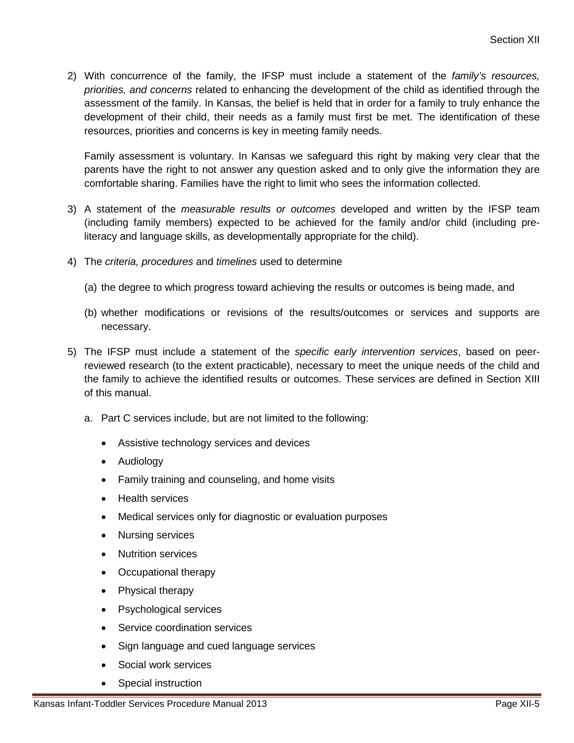2) With concurrence of the family, the IFSP must include a statement of the *family's resources, priorities, and concerns* related to enhancing the development of the child as identified through the assessment of the family. In Kansas, the belief is held that in order for a family to truly enhance the development of their child, their needs as a family must first be met. The identification of these resources, priorities and concerns is key in meeting family needs.

Family assessment is voluntary. In Kansas we safeguard this right by making very clear that the parents have the right to not answer any question asked and to only give the information they are comfortable sharing. Families have the right to limit who sees the information collected.

- 3) A statement of the *measurable results or outcomes* developed and written by the IFSP team (including family members) expected to be achieved for the family and/or child (including preliteracy and language skills, as developmentally appropriate for the child).
- 4) The *criteria, procedures* and *timelines* used to determine
	- (a) the degree to which progress toward achieving the results or outcomes is being made, and
	- (b) whether modifications or revisions of the results/outcomes or services and supports are necessary.
- 5) The IFSP must include a statement of the *specific early intervention services*, based on peerreviewed research (to the extent practicable), necessary to meet the unique needs of the child and the family to achieve the identified results or outcomes. These services are defined in Section XIII of this manual.
	- a. Part C services include, but are not limited to the following:
		- Assistive technology services and devices
		- Audiology
		- Family training and counseling, and home visits
		- Health services
		- Medical services only for diagnostic or evaluation purposes
		- Nursing services
		- Nutrition services
		- Occupational therapy
		- Physical therapy
		- Psychological services
		- Service coordination services
		- Sign language and cued language services
		- Social work services
		- Special instruction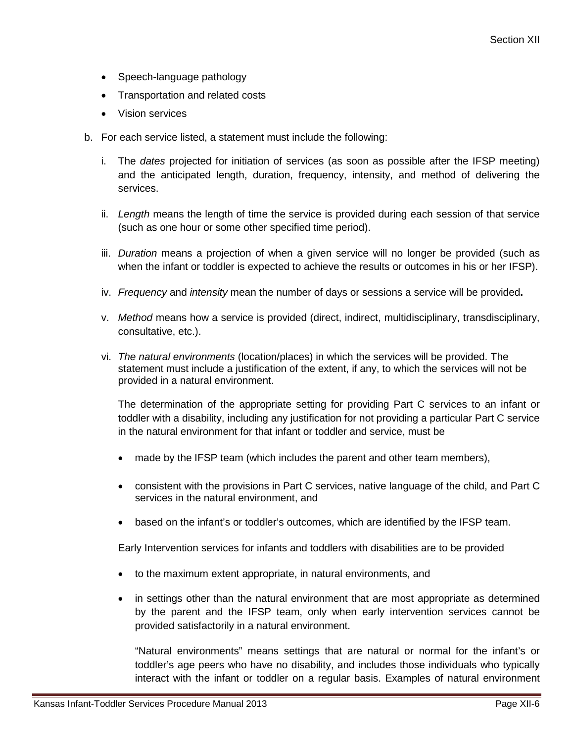- Speech-language pathology
- Transportation and related costs
- Vision services
- b. For each service listed, a statement must include the following:
	- i. The *dates* projected for initiation of services (as soon as possible after the IFSP meeting) and the anticipated length, duration, frequency, intensity, and method of delivering the services.
	- ii. *Length* means the length of time the service is provided during each session of that service (such as one hour or some other specified time period).
	- iii. *Duration* means a projection of when a given service will no longer be provided (such as when the infant or toddler is expected to achieve the results or outcomes in his or her IFSP).
	- iv. *Frequency* and *intensity* mean the number of days or sessions a service will be provided**.**
	- v. *Method* means how a service is provided (direct, indirect, multidisciplinary, transdisciplinary, consultative, etc.).
	- vi. *The natural environments* (location/places) in which the services will be provided. The statement must include a justification of the extent, if any, to which the services will not be provided in a natural environment.

The determination of the appropriate setting for providing Part C services to an infant or toddler with a disability, including any justification for not providing a particular Part C service in the natural environment for that infant or toddler and service, must be

- made by the IFSP team (which includes the parent and other team members),
- consistent with the provisions in Part C services, native language of the child, and Part C services in the natural environment, and
- based on the infant's or toddler's outcomes, which are identified by the IFSP team.

Early Intervention services for infants and toddlers with disabilities are to be provided

- to the maximum extent appropriate, in natural environments, and
- in settings other than the natural environment that are most appropriate as determined by the parent and the IFSP team, only when early intervention services cannot be provided satisfactorily in a natural environment.

"Natural environments" means settings that are natural or normal for the infant's or toddler's age peers who have no disability, and includes those individuals who typically interact with the infant or toddler on a regular basis. Examples of natural environment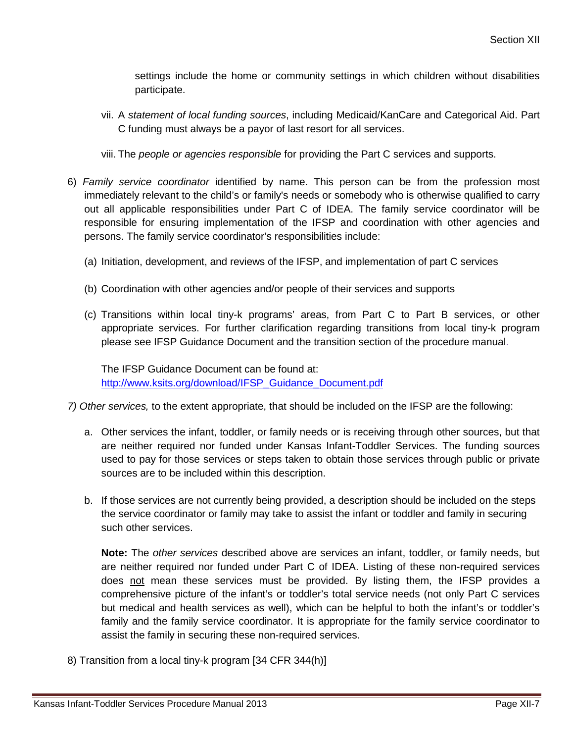settings include the home or community settings in which children without disabilities participate.

- vii. A *statement of local funding sources*, including Medicaid/KanCare and Categorical Aid. Part C funding must always be a payor of last resort for all services.
- viii. The *people or agencies responsible* for providing the Part C services and supports.
- 6) *Family service coordinator* identified by name. This person can be from the profession most immediately relevant to the child's or family's needs or somebody who is otherwise qualified to carry out all applicable responsibilities under Part C of IDEA. The family service coordinator will be responsible for ensuring implementation of the IFSP and coordination with other agencies and persons. The family service coordinator's responsibilities include:
	- (a) Initiation, development, and reviews of the IFSP, and implementation of part C services
	- (b) Coordination with other agencies and/or people of their services and supports
	- (c) Transitions within local tiny-k programs' areas, from Part C to Part B services, or other appropriate services. For further clarification regarding transitions from local tiny-k program please see IFSP Guidance Document and the transition section of the procedure manual.

The IFSP Guidance Document can be found at: [http://www.ksits.org/download/IFSP\\_Guidance\\_Document.pdf](http://www.ksits.org/download/IFSP_Guidance_Document.pdf)

*7) Other services,* to the extent appropriate, that should be included on the IFSP are the following:

- a. Other services the infant, toddler, or family needs or is receiving through other sources, but that are neither required nor funded under Kansas Infant-Toddler Services. The funding sources used to pay for those services or steps taken to obtain those services through public or private sources are to be included within this description.
- b. If those services are not currently being provided, a description should be included on the steps the service coordinator or family may take to assist the infant or toddler and family in securing such other services.

**Note:** The *other services* described above are services an infant, toddler, or family needs, but are neither required nor funded under Part C of IDEA. Listing of these non-required services does not mean these services must be provided. By listing them, the IFSP provides a comprehensive picture of the infant's or toddler's total service needs (not only Part C services but medical and health services as well), which can be helpful to both the infant's or toddler's family and the family service coordinator. It is appropriate for the family service coordinator to assist the family in securing these non-required services.

8) Transition from a local tiny-k program [34 CFR 344(h)]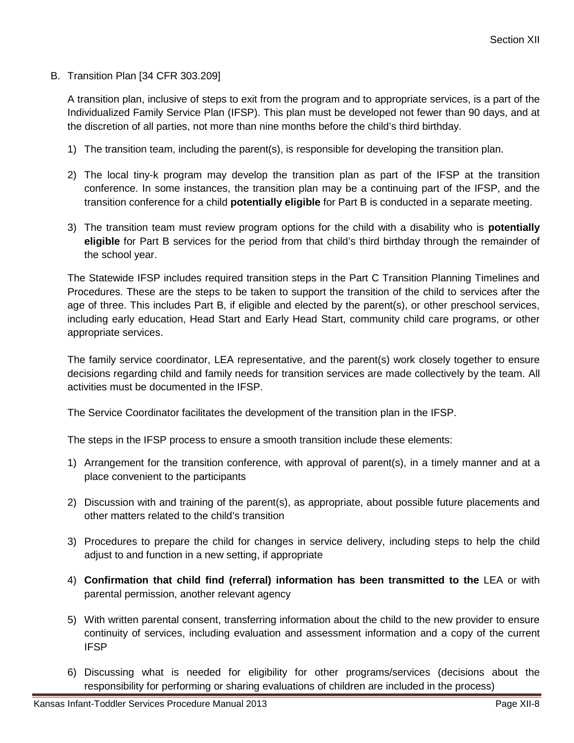B. Transition Plan [34 CFR 303.209]

A transition plan, inclusive of steps to exit from the program and to appropriate services, is a part of the Individualized Family Service Plan (IFSP). This plan must be developed not fewer than 90 days, and at the discretion of all parties, not more than nine months before the child's third birthday.

- 1) The transition team, including the parent(s), is responsible for developing the transition plan.
- 2) The local tiny-k program may develop the transition plan as part of the IFSP at the transition conference. In some instances, the transition plan may be a continuing part of the IFSP, and the transition conference for a child **potentially eligible** for Part B is conducted in a separate meeting.
- 3) The transition team must review program options for the child with a disability who is **potentially eligible** for Part B services for the period from that child's third birthday through the remainder of the school year.

The Statewide IFSP includes required transition steps in the Part C Transition Planning Timelines and Procedures. These are the steps to be taken to support the transition of the child to services after the age of three. This includes Part B, if eligible and elected by the parent(s), or other preschool services, including early education, Head Start and Early Head Start, community child care programs, or other appropriate services.

The family service coordinator, LEA representative, and the parent(s) work closely together to ensure decisions regarding child and family needs for transition services are made collectively by the team. All activities must be documented in the IFSP.

The Service Coordinator facilitates the development of the transition plan in the IFSP.

The steps in the IFSP process to ensure a smooth transition include these elements:

- 1) Arrangement for the transition conference, with approval of parent(s), in a timely manner and at a place convenient to the participants
- 2) Discussion with and training of the parent(s), as appropriate, about possible future placements and other matters related to the child's transition
- 3) Procedures to prepare the child for changes in service delivery, including steps to help the child adjust to and function in a new setting, if appropriate
- 4) **Confirmation that child find (referral) information has been transmitted to the** LEA or with parental permission, another relevant agency
- 5) With written parental consent, transferring information about the child to the new provider to ensure continuity of services, including evaluation and assessment information and a copy of the current IFSP
- 6) Discussing what is needed for eligibility for other programs/services (decisions about the responsibility for performing or sharing evaluations of children are included in the process)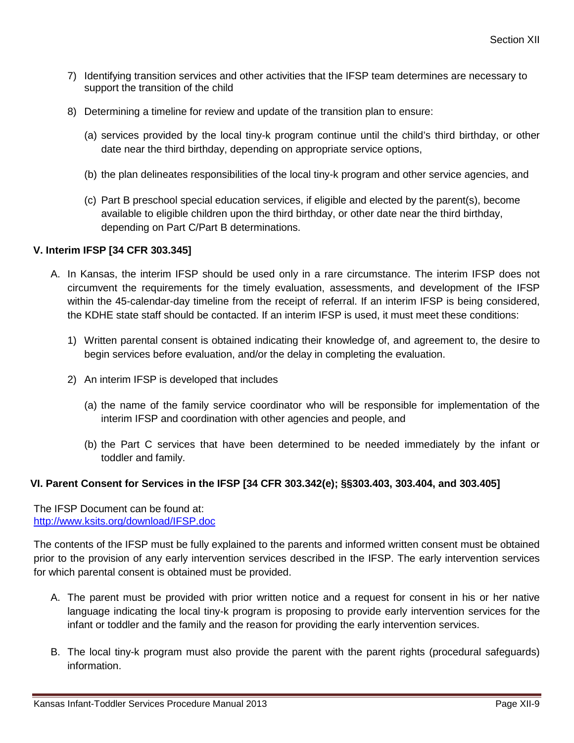- 7) Identifying transition services and other activities that the IFSP team determines are necessary to support the transition of the child
- 8) Determining a timeline for review and update of the transition plan to ensure:
	- (a) services provided by the local tiny-k program continue until the child's third birthday, or other date near the third birthday, depending on appropriate service options,
	- (b) the plan delineates responsibilities of the local tiny-k program and other service agencies, and
	- (c) Part B preschool special education services, if eligible and elected by the parent(s), become available to eligible children upon the third birthday, or other date near the third birthday, depending on Part C/Part B determinations.

# **V. Interim IFSP [34 CFR 303.345]**

- A. In Kansas, the interim IFSP should be used only in a rare circumstance. The interim IFSP does not circumvent the requirements for the timely evaluation, assessments, and development of the IFSP within the 45-calendar-day timeline from the receipt of referral. If an interim IFSP is being considered, the KDHE state staff should be contacted. If an interim IFSP is used, it must meet these conditions:
	- 1) Written parental consent is obtained indicating their knowledge of, and agreement to, the desire to begin services before evaluation, and/or the delay in completing the evaluation.
	- 2) An interim IFSP is developed that includes
		- (a) the name of the family service coordinator who will be responsible for implementation of the interim IFSP and coordination with other agencies and people, and
		- (b) the Part C services that have been determined to be needed immediately by the infant or toddler and family.

## **VI. Parent Consent for Services in the IFSP [34 CFR 303.342(e); §§303.403, 303.404, and 303.405]**

The IFSP Document can be found at: <http://www.ksits.org/download/IFSP.doc>

The contents of the IFSP must be fully explained to the parents and informed written consent must be obtained prior to the provision of any early intervention services described in the IFSP. The early intervention services for which parental consent is obtained must be provided.

- A. The parent must be provided with prior written notice and a request for consent in his or her native language indicating the local tiny-k program is proposing to provide early intervention services for the infant or toddler and the family and the reason for providing the early intervention services.
- B. The local tiny-k program must also provide the parent with the parent rights (procedural safeguards) information.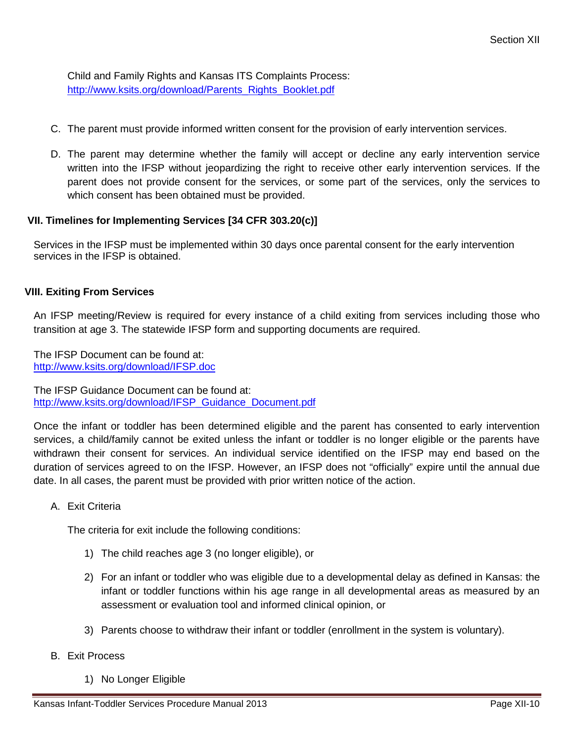Child and Family Rights and Kansas ITS Complaints Process: [http://www.ksits.org/download/Parents\\_Rights\\_Booklet.pdf](http://www.ksits.org/download/Parents_Rights_Booklet.pdf)

- C. The parent must provide informed written consent for the provision of early intervention services.
- D. The parent may determine whether the family will accept or decline any early intervention service written into the IFSP without jeopardizing the right to receive other early intervention services. If the parent does not provide consent for the services, or some part of the services, only the services to which consent has been obtained must be provided.

## **VII. Timelines for Implementing Services [34 CFR 303.20(c)]**

Services in the IFSP must be implemented within 30 days once parental consent for the early intervention services in the IFSP is obtained.

#### **VIII. Exiting From Services**

An IFSP meeting/Review is required for every instance of a child exiting from services including those who transition at age 3. The statewide IFSP form and supporting documents are required.

The IFSP Document can be found at: <http://www.ksits.org/download/IFSP.doc>

The IFSP Guidance Document can be found at: [http://www.ksits.org/download/IFSP\\_Guidance\\_Document.pdf](http://www.ksits.org/download/IFSP_Guidance_Document.pdf)

Once the infant or toddler has been determined eligible and the parent has consented to early intervention services, a child/family cannot be exited unless the infant or toddler is no longer eligible or the parents have withdrawn their consent for services. An individual service identified on the IFSP may end based on the duration of services agreed to on the IFSP. However, an IFSP does not "officially" expire until the annual due date. In all cases, the parent must be provided with prior written notice of the action.

A. Exit Criteria

The criteria for exit include the following conditions:

- 1) The child reaches age 3 (no longer eligible), or
- 2) For an infant or toddler who was eligible due to a developmental delay as defined in Kansas: the infant or toddler functions within his age range in all developmental areas as measured by an assessment or evaluation tool and informed clinical opinion, or
- 3) Parents choose to withdraw their infant or toddler (enrollment in the system is voluntary).
- B. Exit Process
	- 1) No Longer Eligible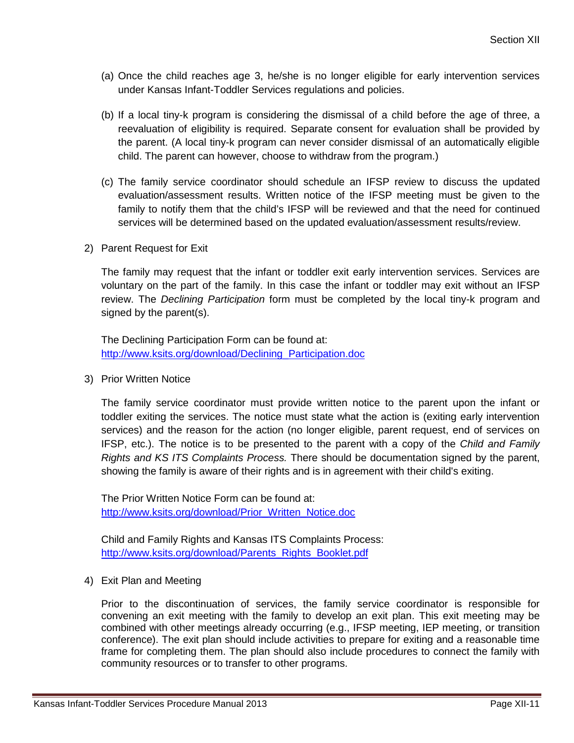- (a) Once the child reaches age 3, he/she is no longer eligible for early intervention services under Kansas Infant-Toddler Services regulations and policies.
- (b) If a local tiny-k program is considering the dismissal of a child before the age of three, a reevaluation of eligibility is required. Separate consent for evaluation shall be provided by the parent. (A local tiny-k program can never consider dismissal of an automatically eligible child. The parent can however, choose to withdraw from the program.)
- (c) The family service coordinator should schedule an IFSP review to discuss the updated evaluation/assessment results. Written notice of the IFSP meeting must be given to the family to notify them that the child's IFSP will be reviewed and that the need for continued services will be determined based on the updated evaluation/assessment results/review.
- 2) Parent Request for Exit

The family may request that the infant or toddler exit early intervention services. Services are voluntary on the part of the family. In this case the infant or toddler may exit without an IFSP review. The *Declining Participation* form must be completed by the local tiny-k program and signed by the parent(s).

The Declining Participation Form can be found at: [http://www.ksits.org/download/Declining\\_Participation.doc](http://www.ksits.org/download/Declining_Participation.doc)

3) Prior Written Notice

The family service coordinator must provide written notice to the parent upon the infant or toddler exiting the services. The notice must state what the action is (exiting early intervention services) and the reason for the action (no longer eligible, parent request, end of services on IFSP, etc.). The notice is to be presented to the parent with a copy of the *Child and Family Rights and KS ITS Complaints Process.* There should be documentation signed by the parent, showing the family is aware of their rights and is in agreement with their child's exiting.

The Prior Written Notice Form can be found at: [http://www.ksits.org/download/Prior\\_Written\\_Notice.doc](http://www.ksits.org/download/Prior_Written_Notice.doc)

Child and Family Rights and Kansas ITS Complaints Process: [http://www.ksits.org/download/Parents\\_Rights\\_Booklet.pdf](http://www.ksits.org/download/Parents_Rights_Booklet.pdf)

4) Exit Plan and Meeting

Prior to the discontinuation of services, the family service coordinator is responsible for convening an exit meeting with the family to develop an exit plan. This exit meeting may be combined with other meetings already occurring (e.g., IFSP meeting, IEP meeting, or transition conference). The exit plan should include activities to prepare for exiting and a reasonable time frame for completing them. The plan should also include procedures to connect the family with community resources or to transfer to other programs.